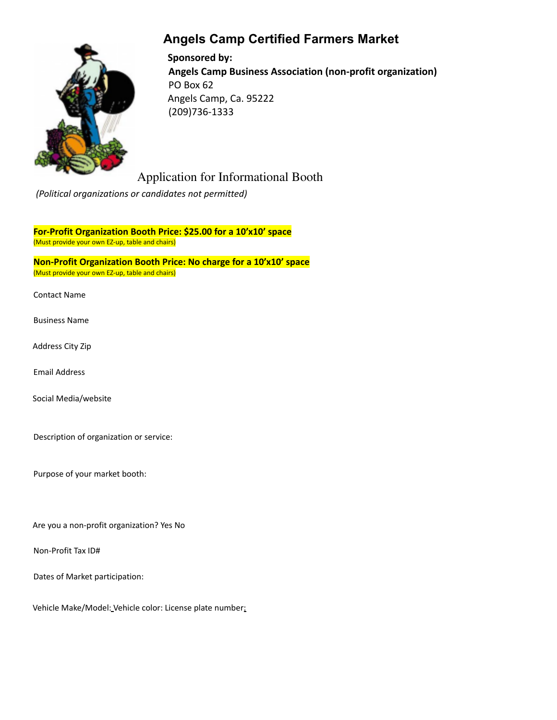# **Angels Camp Certified Farmers Market**



**Sponsored by: Angels Camp Business Association (non-profit organization)** PO Box 62 Angels Camp, Ca. 95222 (209)736-1333

# Application for Informational Booth

*(Political organizations or candidates not permitted)*

**For-Profit Organization Booth Price: \$25.00 for a 10'x10' space** (Must provide your own EZ-up, table and chairs)

**Non-Profit Organization Booth Price: No charge for a 10'x10' space** (Must provide your own EZ-up, table and chairs)

Contact Name

- Business Name
- Address City Zip

Email Address

Social Media/website

Description of organization or service:

Purpose of your market booth:

Are you a non-profit organization? Yes No

Non-Profit Tax ID#

Dates of Market participation:

Vehicle Make/Model: Vehicle color: License plate number: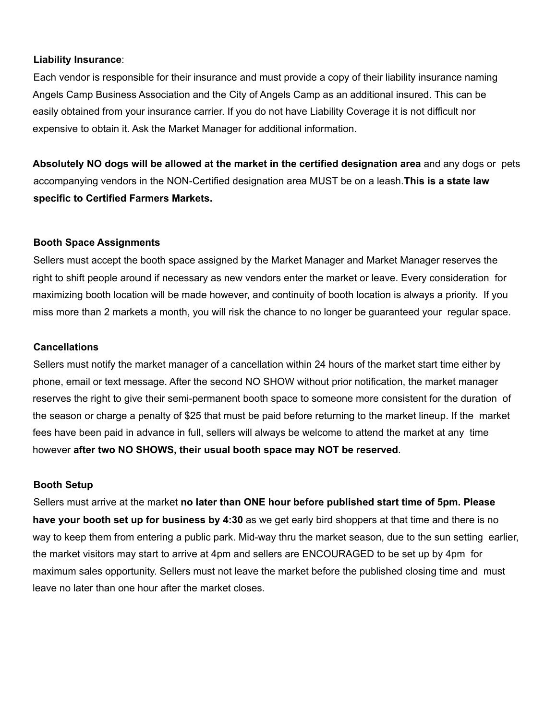#### **Liability Insurance**:

Each vendor is responsible for their insurance and must provide a copy of their liability insurance naming Angels Camp Business Association and the City of Angels Camp as an additional insured. This can be easily obtained from your insurance carrier. If you do not have Liability Coverage it is not difficult nor expensive to obtain it. Ask the Market Manager for additional information.

**Absolutely NO dogs will be allowed at the market in the certified designation area** and any dogs or pets accompanying vendors in the NON-Certified designation area MUST be on a leash.**This is a state law specific to Certified Farmers Markets.**

## **Booth Space Assignments**

Sellers must accept the booth space assigned by the Market Manager and Market Manager reserves the right to shift people around if necessary as new vendors enter the market or leave. Every consideration for maximizing booth location will be made however, and continuity of booth location is always a priority. If you miss more than 2 markets a month, you will risk the chance to no longer be guaranteed your regular space.

#### **Cancellations**

Sellers must notify the market manager of a cancellation within 24 hours of the market start time either by phone, email or text message. After the second NO SHOW without prior notification, the market manager reserves the right to give their semi-permanent booth space to someone more consistent for the duration of the season or charge a penalty of \$25 that must be paid before returning to the market lineup. If the market fees have been paid in advance in full, sellers will always be welcome to attend the market at any time however **after two NO SHOWS, their usual booth space may NOT be reserved**.

## **Booth Setup**

Sellers must arrive at the market **no later than ONE hour before published start time of 5pm. Please have your booth set up for business by 4:30** as we get early bird shoppers at that time and there is no way to keep them from entering a public park. Mid-way thru the market season, due to the sun setting earlier, the market visitors may start to arrive at 4pm and sellers are ENCOURAGED to be set up by 4pm for maximum sales opportunity. Sellers must not leave the market before the published closing time and must leave no later than one hour after the market closes.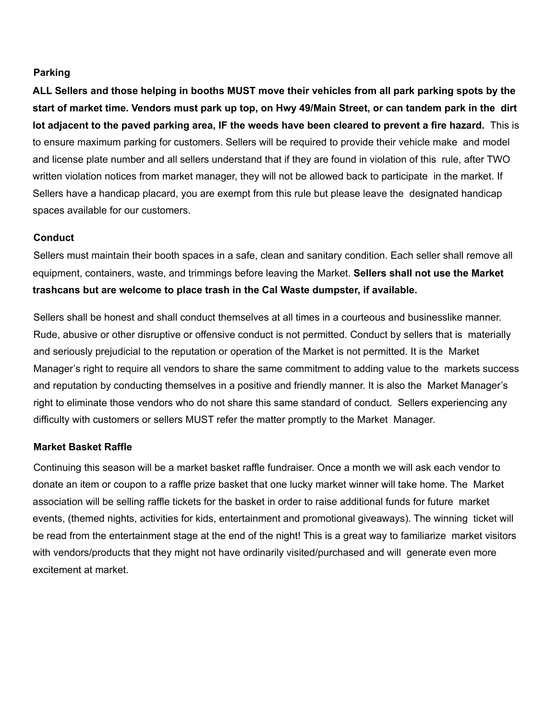## **Parking**

ALL Sellers and those helping in booths MUST move their vehicles from all park parking spots by the start of market time. Vendors must park up top, on Hwy 49/Main Street, or can tandem park in the dirt lot adjacent to the paved parking area, IF the weeds have been cleared to prevent a fire hazard. This is to ensure maximum parking for customers. Sellers will be required to provide their vehicle make and model and license plate number and all sellers understand that if they are found in violation of this rule, after TWO written violation notices from market manager, they will not be allowed back to participate in the market. If Sellers have a handicap placard, you are exempt from this rule but please leave the designated handicap spaces available for our customers.

#### **Conduct**

Sellers must maintain their booth spaces in a safe, clean and sanitary condition. Each seller shall remove all equipment, containers, waste, and trimmings before leaving the Market. **Sellers shall not use the Market trashcans but are welcome to place trash in the Cal Waste dumpster, if available.**

Sellers shall be honest and shall conduct themselves at all times in a courteous and businesslike manner. Rude, abusive or other disruptive or offensive conduct is not permitted. Conduct by sellers that is materially and seriously prejudicial to the reputation or operation of the Market is not permitted. It is the Market Manager's right to require all vendors to share the same commitment to adding value to the markets success and reputation by conducting themselves in a positive and friendly manner. It is also the Market Manager's right to eliminate those vendors who do not share this same standard of conduct. Sellers experiencing any difficulty with customers or sellers MUST refer the matter promptly to the Market Manager.

#### **Market Basket Raffle**

Continuing this season will be a market basket raffle fundraiser. Once a month we will ask each vendor to donate an item or coupon to a raffle prize basket that one lucky market winner will take home. The Market association will be selling raffle tickets for the basket in order to raise additional funds for future market events, (themed nights, activities for kids, entertainment and promotional giveaways). The winning ticket will be read from the entertainment stage at the end of the night! This is a great way to familiarize market visitors with vendors/products that they might not have ordinarily visited/purchased and will generate even more excitement at market.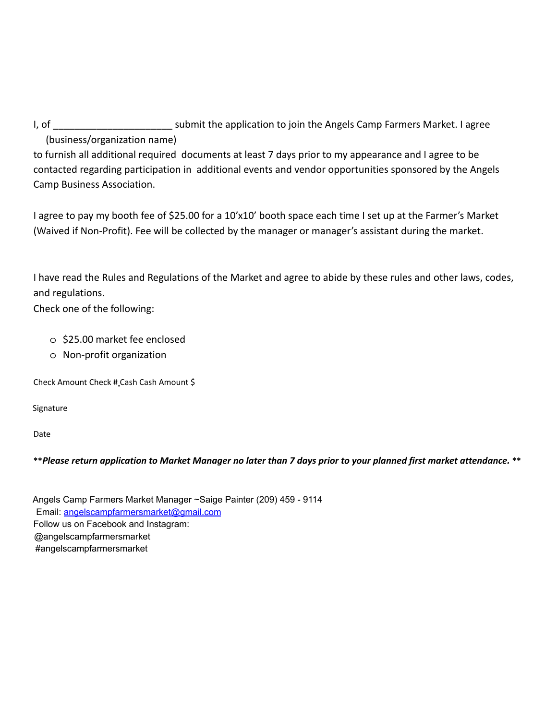I, of \_\_\_\_\_\_\_\_\_\_\_\_\_\_\_\_\_\_\_\_\_\_\_\_\_\_\_\_\_\_ submit the application to join the Angels Camp Farmers Market. I agree (business/organization name)

to furnish all additional required documents at least 7 days prior to my appearance and I agree to be contacted regarding participation in additional events and vendor opportunities sponsored by the Angels Camp Business Association.

I agree to pay my booth fee of \$25.00 for a 10'x10' booth space each time I set up at the Farmer's Market (Waived if Non-Profit). Fee will be collected by the manager or manager's assistant during the market.

I have read the Rules and Regulations of the Market and agree to abide by these rules and other laws, codes, and regulations.

Check one of the following:

- o \$25.00 market fee enclosed
- o Non-profit organization

Check Amount Check # Cash Cash Amount \$

Signature

Date

\*\*Please return application to Market Manager no later than 7 days prior to your planned first market attendance. \*\*

Angels Camp Farmers Market Manager ~Saige Painter (209) 459 - 9114 Email: angelscampfarmersmarket@gmail.com Follow us on Facebook and Instagram: @angelscampfarmersmarket #angelscampfarmersmarket